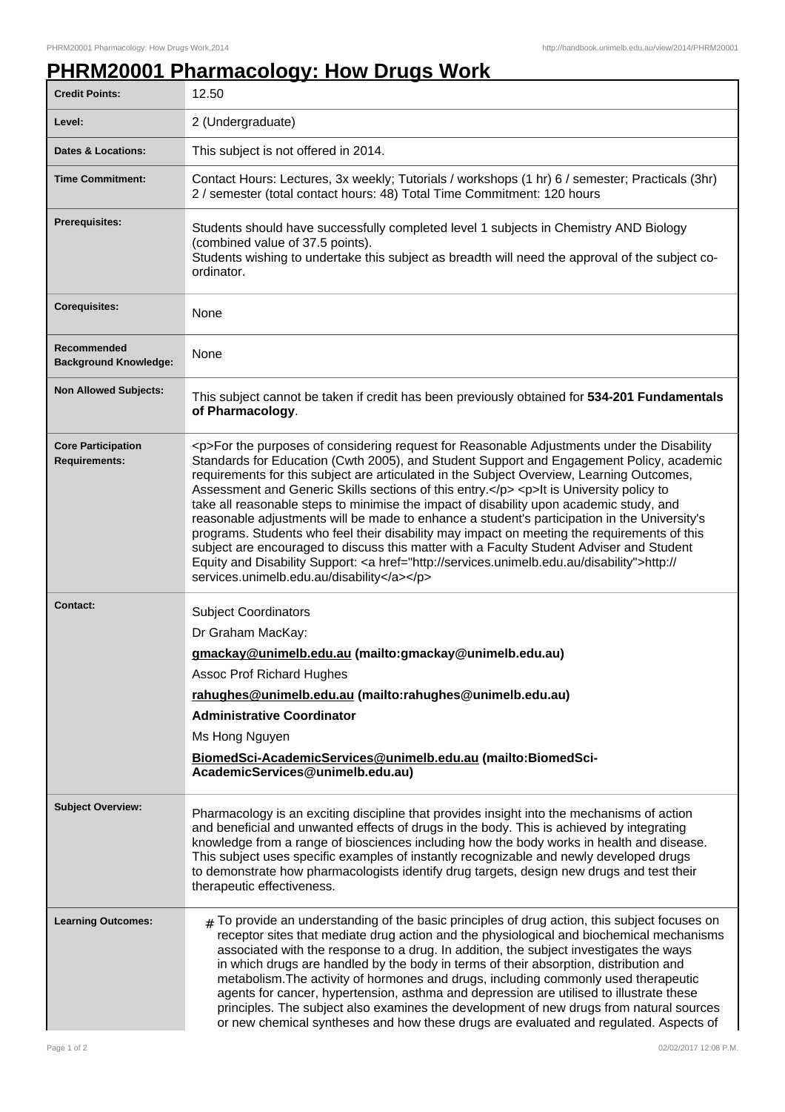## **PHRM20001 Pharmacology: How Drugs Work**

| <b>Credit Points:</b>                             | 12.50                                                                                                                                                                                                                                                                                                                                                                                                                                                                                                                                                                                                                                                                                                                                                                                                                                                                                                                        |
|---------------------------------------------------|------------------------------------------------------------------------------------------------------------------------------------------------------------------------------------------------------------------------------------------------------------------------------------------------------------------------------------------------------------------------------------------------------------------------------------------------------------------------------------------------------------------------------------------------------------------------------------------------------------------------------------------------------------------------------------------------------------------------------------------------------------------------------------------------------------------------------------------------------------------------------------------------------------------------------|
| Level:                                            | 2 (Undergraduate)                                                                                                                                                                                                                                                                                                                                                                                                                                                                                                                                                                                                                                                                                                                                                                                                                                                                                                            |
| <b>Dates &amp; Locations:</b>                     | This subject is not offered in 2014.                                                                                                                                                                                                                                                                                                                                                                                                                                                                                                                                                                                                                                                                                                                                                                                                                                                                                         |
| <b>Time Commitment:</b>                           | Contact Hours: Lectures, 3x weekly; Tutorials / workshops (1 hr) 6 / semester; Practicals (3hr)<br>2 / semester (total contact hours: 48) Total Time Commitment: 120 hours                                                                                                                                                                                                                                                                                                                                                                                                                                                                                                                                                                                                                                                                                                                                                   |
| Prerequisites:                                    | Students should have successfully completed level 1 subjects in Chemistry AND Biology<br>(combined value of 37.5 points).<br>Students wishing to undertake this subject as breadth will need the approval of the subject co-<br>ordinator.                                                                                                                                                                                                                                                                                                                                                                                                                                                                                                                                                                                                                                                                                   |
| <b>Corequisites:</b>                              | None                                                                                                                                                                                                                                                                                                                                                                                                                                                                                                                                                                                                                                                                                                                                                                                                                                                                                                                         |
| Recommended<br><b>Background Knowledge:</b>       | None                                                                                                                                                                                                                                                                                                                                                                                                                                                                                                                                                                                                                                                                                                                                                                                                                                                                                                                         |
| <b>Non Allowed Subjects:</b>                      | This subject cannot be taken if credit has been previously obtained for 534-201 Fundamentals<br>of Pharmacology.                                                                                                                                                                                                                                                                                                                                                                                                                                                                                                                                                                                                                                                                                                                                                                                                             |
| <b>Core Participation</b><br><b>Requirements:</b> | <p>For the purposes of considering request for Reasonable Adjustments under the Disability<br/>Standards for Education (Cwth 2005), and Student Support and Engagement Policy, academic<br/>requirements for this subject are articulated in the Subject Overview, Learning Outcomes,<br/>Assessment and Generic Skills sections of this entry.</p> <p>It is University policy to<br/>take all reasonable steps to minimise the impact of disability upon academic study, and<br/>reasonable adjustments will be made to enhance a student's participation in the University's<br/>programs. Students who feel their disability may impact on meeting the requirements of this<br/>subject are encouraged to discuss this matter with a Faculty Student Adviser and Student<br/>Equity and Disability Support: &lt; a href="http://services.unimelb.edu.au/disability"&gt;http://<br/>services.unimelb.edu.au/disability</p> |
| <b>Contact:</b>                                   | <b>Subject Coordinators</b><br>Dr Graham MacKay:<br>gmackay@unimelb.edu.au (mailto:gmackay@unimelb.edu.au)<br><b>Assoc Prof Richard Hughes</b><br>rahughes@unimelb.edu.au (mailto:rahughes@unimelb.edu.au)<br><b>Administrative Coordinator</b><br>Ms Hong Nguyen<br>BiomedSci-AcademicServices@unimelb.edu.au (mailto:BiomedSci-<br>AcademicServices@unimelb.edu.au)                                                                                                                                                                                                                                                                                                                                                                                                                                                                                                                                                        |
| <b>Subject Overview:</b>                          | Pharmacology is an exciting discipline that provides insight into the mechanisms of action<br>and beneficial and unwanted effects of drugs in the body. This is achieved by integrating<br>knowledge from a range of biosciences including how the body works in health and disease.<br>This subject uses specific examples of instantly recognizable and newly developed drugs<br>to demonstrate how pharmacologists identify drug targets, design new drugs and test their<br>therapeutic effectiveness.                                                                                                                                                                                                                                                                                                                                                                                                                   |
| <b>Learning Outcomes:</b>                         | $_{\rm #}$ To provide an understanding of the basic principles of drug action, this subject focuses on<br>receptor sites that mediate drug action and the physiological and biochemical mechanisms<br>associated with the response to a drug. In addition, the subject investigates the ways<br>in which drugs are handled by the body in terms of their absorption, distribution and<br>metabolism. The activity of hormones and drugs, including commonly used therapeutic<br>agents for cancer, hypertension, asthma and depression are utilised to illustrate these<br>principles. The subject also examines the development of new drugs from natural sources<br>or new chemical syntheses and how these drugs are evaluated and regulated. Aspects of                                                                                                                                                                  |